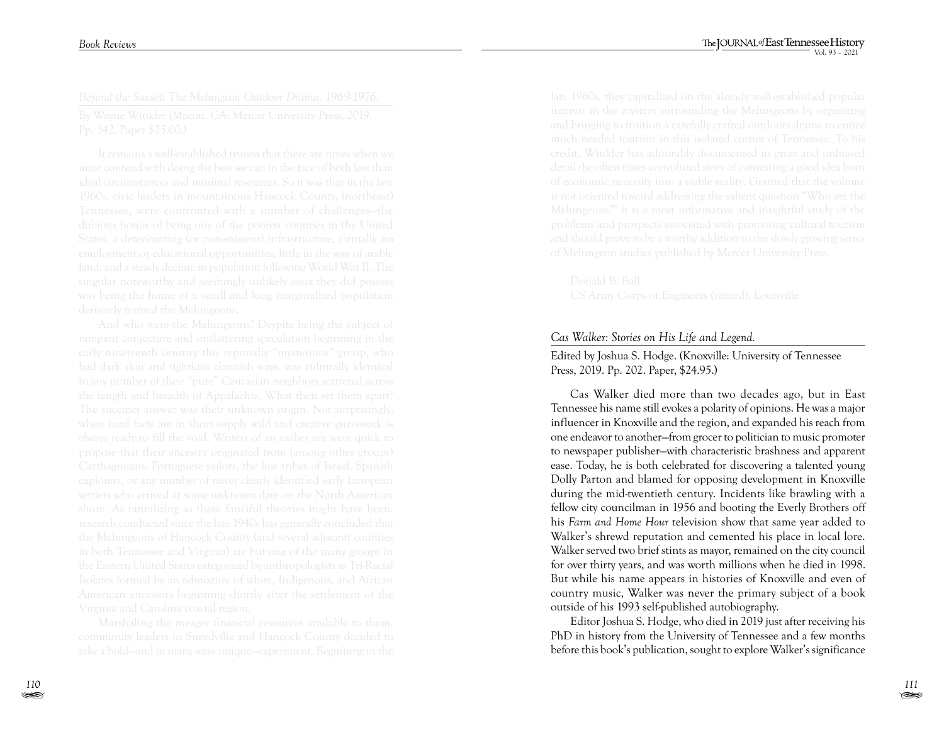## *Cas Walker: Stories on His Life and Legend.*

Edited by Joshua S. Hodge. (Knoxville: University of Tennessee Press, 2019. Pp. 202. Paper, \$24.95.)

Cas Walker died more than two decades ago, but in East Tennessee his name still evokes a polarity of opinions. He was a major influencer in Knoxville and the region, and expanded his reach from one endeavor to another—from grocer to politician to music promoter to newspaper publisher—with characteristic brashness and apparent ease. Today, he is both celebrated for discovering a talented young Dolly Parton and blamed for opposing development in Knoxville during the mid-twentieth century. Incidents like brawling with a fellow city councilman in 1956 and booting the Everly Brothers off his *Farm and Home Hour* television show that same year added to Walker's shrewd reputation and cemented his place in local lore. Walker served two brief stints as mayor, remained on the city council for over thirty years, and was worth millions when he died in 1998. But while his name appears in histories of Knoxville and even of country music, Walker was never the primary subject of a book outside of his 1993 self-published autobiography.

Editor Joshua S. Hodge, who died in 2019 just after receiving his PhD in history from the University of Tennessee and a few months before this book's publication, sought to explore Walker's significance